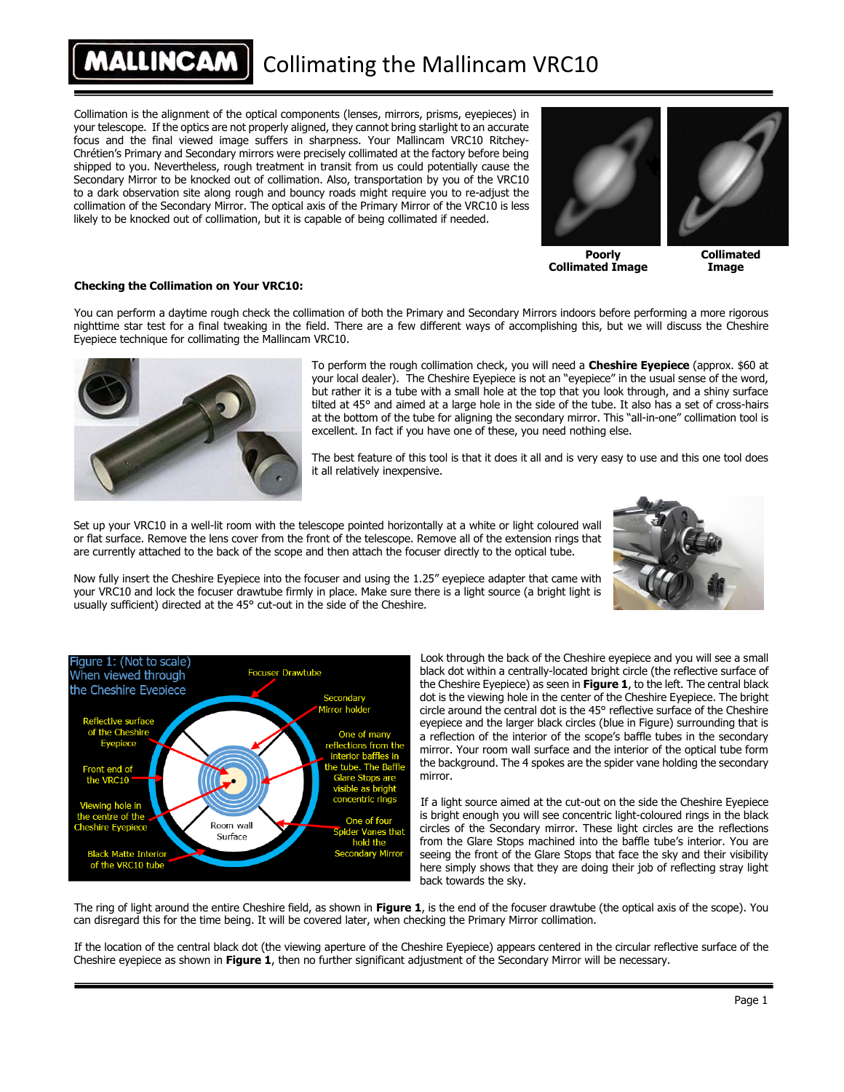#### **ALLINCAM** Collimating the Mallincam VRC10

Collimation is the alignment of the optical components (lenses, mirrors, prisms, eyepieces) in your telescope. If the optics are not properly aligned, they cannot bring starlight to an accurate focus and the final viewed image suffers in sharpness. Your Mallincam VRC10 Ritchey-Chrétien's Primary and Secondary mirrors were precisely collimated at the factory before being shipped to you. Nevertheless, rough treatment in transit from us could potentially cause the Secondary Mirror to be knocked out of collimation. Also, transportation by you of the VRC10 to a dark observation site along rough and bouncy roads might require you to re-adjust the collimation of the Secondary Mirror. The optical axis of the Primary Mirror of the VRC10 is less likely to be knocked out of collimation, but it is capable of being collimated if needed.



**Poorly Collimated Image**

**Collimated Image**

#### **Checking the Collimation on Your VRC10:**

You can perform a daytime rough check the collimation of both the Primary and Secondary Mirrors indoors before performing a more rigorous nighttime star test for a final tweaking in the field. There are a few different ways of accomplishing this, but we will discuss the Cheshire Eyepiece technique for collimating the Mallincam VRC10.



To perform the rough collimation check, you will need a **Cheshire Eyepiece** (approx. \$60 at your local dealer). The Cheshire Eyepiece is not an "eyepiece" in the usual sense of the word, but rather it is a tube with a small hole at the top that you look through, and a shiny surface tilted at 45° and aimed at a large hole in the side of the tube. It also has a set of cross-hairs at the bottom of the tube for aligning the secondary mirror. This "all-in-one" collimation tool is excellent. In fact if you have one of these, you need nothing else.

The best feature of this tool is that it does it all and is very easy to use and this one tool does it all relatively inexpensive.

Set up your VRC10 in a well-lit room with the telescope pointed horizontally at a white or light coloured wall or flat surface. Remove the lens cover from the front of the telescope. Remove all of the extension rings that are currently attached to the back of the scope and then attach the focuser directly to the optical tube.



Now fully insert the Cheshire Eyepiece into the focuser and using the 1.25" eyepiece adapter that came with your VRC10 and lock the focuser drawtube firmly in place. Make sure there is a light source (a bright light is usually sufficient) directed at the 45° cut-out in the side of the Cheshire.



Look through the back of the Cheshire eyepiece and you will see a small black dot within a centrally-located bright circle (the reflective surface of the Cheshire Eyepiece) as seen in **Figure 1**, to the left. The central black dot is the viewing hole in the center of the Cheshire Eyepiece. The bright circle around the central dot is the 45° reflective surface of the Cheshire eyepiece and the larger black circles (blue in Figure) surrounding that is a reflection of the interior of the scope's baffle tubes in the secondary mirror. Your room wall surface and the interior of the optical tube form the background. The 4 spokes are the spider vane holding the secondary mirror.

If a light source aimed at the cut-out on the side the Cheshire Eyepiece is bright enough you will see concentric light-coloured rings in the black circles of the Secondary mirror. These light circles are the reflections from the Glare Stops machined into the baffle tube's interior. You are seeing the front of the Glare Stops that face the sky and their visibility here simply shows that they are doing their job of reflecting stray light back towards the sky.

The ring of light around the entire Cheshire field, as shown in **Figure 1**, is the end of the focuser drawtube (the optical axis of the scope). You can disregard this for the time being. It will be covered later, when checking the Primary Mirror collimation.

If the location of the central black dot (the viewing aperture of the Cheshire Eyepiece) appears centered in the circular reflective surface of the Cheshire eyepiece as shown in **Figure 1**, then no further significant adjustment of the Secondary Mirror will be necessary.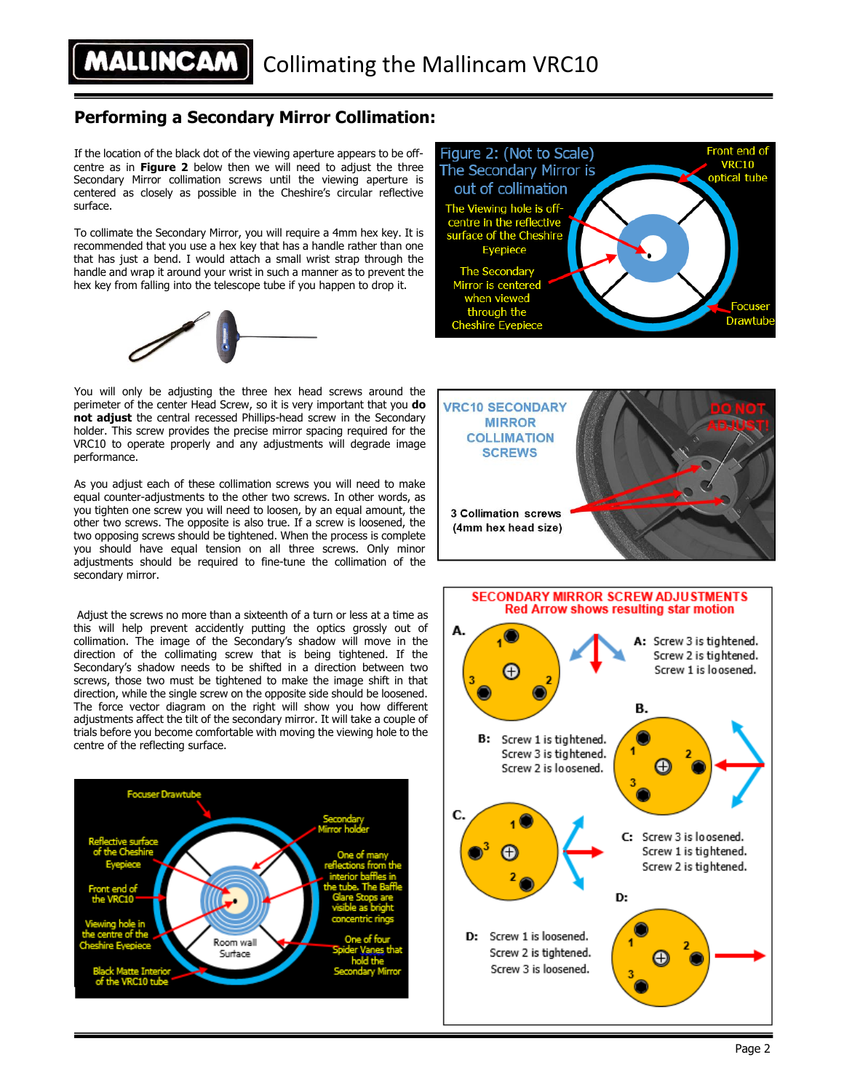### **Performing a Secondary Mirror Collimation:**

If the location of the black dot of the viewing aperture appears to be offcentre as in **Figure 2** below then we will need to adjust the three Secondary Mirror collimation screws until the viewing aperture is centered as closely as possible in the Cheshire's circular reflective surface.

To collimate the Secondary Mirror, you will require a 4mm hex key. It is recommended that you use a hex key that has a handle rather than one that has just a bend. I would attach a small wrist strap through the handle and wrap it around your wrist in such a manner as to prevent the hex key from falling into the telescope tube if you happen to drop it.





You will only be adjusting the three hex head screws around the perimeter of the center Head Screw, so it is very important that you **do not adjust** the central recessed Phillips-head screw in the Secondary holder. This screw provides the precise mirror spacing required for the VRC10 to operate properly and any adjustments will degrade image performance.

As you adjust each of these collimation screws you will need to make equal counter-adjustments to the other two screws. In other words, as you tighten one screw you will need to loosen, by an equal amount, the other two screws. The opposite is also true. If a screw is loosened, the two opposing screws should be tightened. When the process is complete you should have equal tension on all three screws. Only minor adjustments should be required to fine-tune the collimation of the secondary mirror.

Adjust the screws no more than a sixteenth of a turn or less at a time as this will help prevent accidently putting the optics grossly out of collimation. The image of the Secondary's shadow will move in the direction of the collimating screw that is being tightened. If the Secondary's shadow needs to be shifted in a direction between two screws, those two must be tightened to make the image shift in that direction, while the single screw on the opposite side should be loosened. The force vector diagram on the right will show you how different adjustments affect the tilt of the secondary mirror. It will take a couple of trials before you become comfortable with moving the viewing hole to the centre of the reflecting surface.





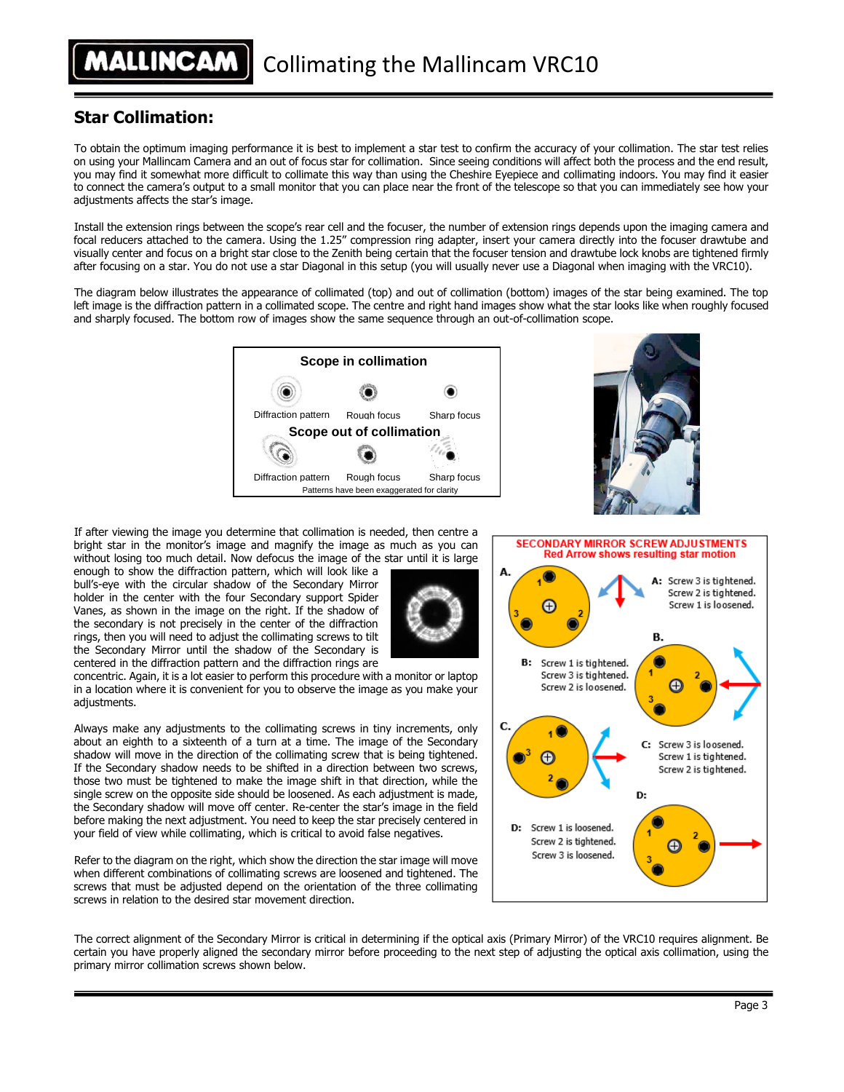## **Star Collimation:**

To obtain the optimum imaging performance it is best to implement a star test to confirm the accuracy of your collimation. The star test relies on using your Mallincam Camera and an out of focus star for collimation. Since seeing conditions will affect both the process and the end result, you may find it somewhat more difficult to collimate this way than using the Cheshire Eyepiece and collimating indoors. You may find it easier to connect the camera's output to a small monitor that you can place near the front of the telescope so that you can immediately see how your adjustments affects the star's image.

Install the extension rings between the scope's rear cell and the focuser, the number of extension rings depends upon the imaging camera and focal reducers attached to the camera. Using the 1.25" compression ring adapter, insert your camera directly into the focuser drawtube and visually center and focus on a bright star close to the Zenith being certain that the focuser tension and drawtube lock knobs are tightened firmly after focusing on a star. You do not use a star Diagonal in this setup (you will usually never use a Diagonal when imaging with the VRC10).

The diagram below illustrates the appearance of collimated (top) and out of collimation (bottom) images of the star being examined. The top left image is the diffraction pattern in a collimated scope. The centre and right hand images show what the star looks like when roughly focused and sharply focused. The bottom row of images show the same sequence through an out-of-collimation scope.





If after viewing the image you determine that collimation is needed, then centre a bright star in the monitor's image and magnify the image as much as you can without losing too much detail. Now defocus the image of the star until it is large

enough to show the diffraction pattern, which will look like a bull's-eye with the circular shadow of the Secondary Mirror holder in the center with the four Secondary support Spider Vanes, as shown in the image on the right. If the shadow of the secondary is not precisely in the center of the diffraction rings, then you will need to adjust the collimating screws to tilt the Secondary Mirror until the shadow of the Secondary is centered in the diffraction pattern and the diffraction rings are

concentric. Again, it is a lot easier to perform this procedure with a monitor or laptop in a location where it is convenient for you to observe the image as you make your adjustments.

Always make any adjustments to the collimating screws in tiny increments, only about an eighth to a sixteenth of a turn at a time. The image of the Secondary shadow will move in the direction of the collimating screw that is being tightened. If the Secondary shadow needs to be shifted in a direction between two screws, those two must be tightened to make the image shift in that direction, while the single screw on the opposite side should be loosened. As each adjustment is made, the Secondary shadow will move off center. Re-center the star's image in the field before making the next adjustment. You need to keep the star precisely centered in your field of view while collimating, which is critical to avoid false negatives.

Refer to the diagram on the right, which show the direction the star image will move when different combinations of collimating screws are loosened and tightened. The screws that must be adjusted depend on the orientation of the three collimating screws in relation to the desired star movement direction.

**SECONDARY MIRROR SCREW ADJUSTMENTS** Red Arrow shows resulting star motion A: Screw 3 is tightened. Screw 2 is tightened. Screw 1 is loosened. Œ В. **B:** Screw 1 is tightened. Screw 3 is tightened. Screw 2 is loosened. C: Screw 3 is loosened. Screw 1 is tightened. Screw 2 is tightened. D: D: Screw 1 is loosened. Screw 2 is tightened. Screw 3 is loosened.

The correct alignment of the Secondary Mirror is critical in determining if the optical axis (Primary Mirror) of the VRC10 requires alignment. Be certain you have properly aligned the secondary mirror before proceeding to the next step of adjusting the optical axis collimation, using the primary mirror collimation screws shown below.